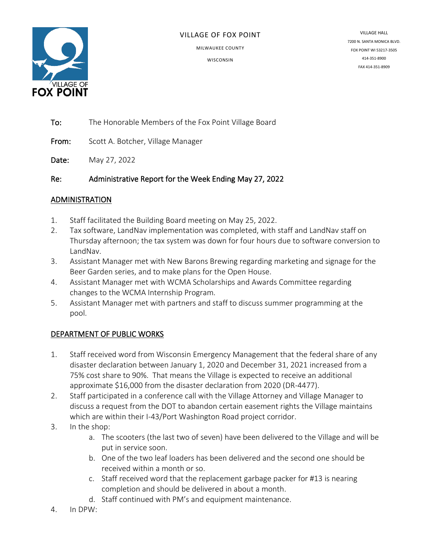

#### VILLAGE OF FOX POINT

MILWAUKEE COUNTY

**WISCONSIN** 

VILLAGE HALL 7200 N. SANTA MONICA BLVD. FOX POINT WI 53217-3505 414-351-8900 FAX 414-351-8909

To: The Honorable Members of the Fox Point Village Board

From: Scott A. Botcher, Village Manager

Date: May 27, 2022

Re: Administrative Report for the Week Ending May 27, 2022

### ADMINISTRATION

- 1. Staff facilitated the Building Board meeting on May 25, 2022.
- 2. Tax software, LandNav implementation was completed, with staff and LandNav staff on Thursday afternoon; the tax system was down for four hours due to software conversion to LandNav.
- 3. Assistant Manager met with New Barons Brewing regarding marketing and signage for the Beer Garden series, and to make plans for the Open House.
- 4. Assistant Manager met with WCMA Scholarships and Awards Committee regarding changes to the WCMA Internship Program.
- 5. Assistant Manager met with partners and staff to discuss summer programming at the pool.

# DEPARTMENT OF PUBLIC WORKS

- 1. Staff received word from Wisconsin Emergency Management that the federal share of any disaster declaration between January 1, 2020 and December 31, 2021 increased from a 75% cost share to 90%. That means the Village is expected to receive an additional approximate \$16,000 from the disaster declaration from 2020 (DR-4477).
- 2. Staff participated in a conference call with the Village Attorney and Village Manager to discuss a request from the DOT to abandon certain easement rights the Village maintains which are within their I-43/Port Washington Road project corridor.
- 3. In the shop:
	- a. The scooters (the last two of seven) have been delivered to the Village and will be put in service soon.
	- b. One of the two leaf loaders has been delivered and the second one should be received within a month or so.
	- c. Staff received word that the replacement garbage packer for #13 is nearing completion and should be delivered in about a month.
	- d. Staff continued with PM's and equipment maintenance.
- 4. In DPW: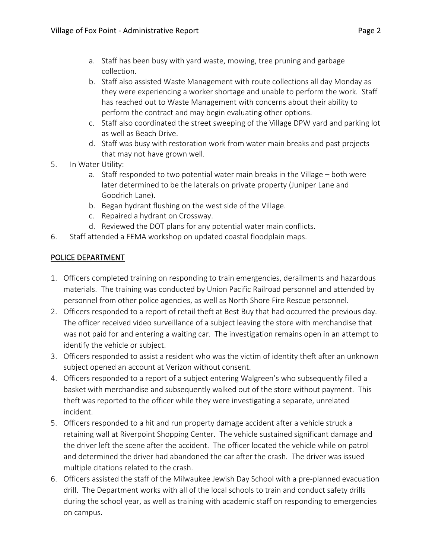- a. Staff has been busy with yard waste, mowing, tree pruning and garbage collection.
- b. Staff also assisted Waste Management with route collections all day Monday as they were experiencing a worker shortage and unable to perform the work. Staff has reached out to Waste Management with concerns about their ability to perform the contract and may begin evaluating other options.
- c. Staff also coordinated the street sweeping of the Village DPW yard and parking lot as well as Beach Drive.
- d. Staff was busy with restoration work from water main breaks and past projects that may not have grown well.
- 5. In Water Utility:
	- a. Staff responded to two potential water main breaks in the Village both were later determined to be the laterals on private property (Juniper Lane and Goodrich Lane).
	- b. Began hydrant flushing on the west side of the Village.
	- c. Repaired a hydrant on Crossway.
	- d. Reviewed the DOT plans for any potential water main conflicts.
- 6. Staff attended a FEMA workshop on updated coastal floodplain maps.

# POLICE DEPARTMENT

- 1. Officers completed training on responding to train emergencies, derailments and hazardous materials. The training was conducted by Union Pacific Railroad personnel and attended by personnel from other police agencies, as well as North Shore Fire Rescue personnel.
- 2. Officers responded to a report of retail theft at Best Buy that had occurred the previous day. The officer received video surveillance of a subject leaving the store with merchandise that was not paid for and entering a waiting car. The investigation remains open in an attempt to identify the vehicle or subject.
- 3. Officers responded to assist a resident who was the victim of identity theft after an unknown subject opened an account at Verizon without consent.
- 4. Officers responded to a report of a subject entering Walgreen's who subsequently filled a basket with merchandise and subsequently walked out of the store without payment. This theft was reported to the officer while they were investigating a separate, unrelated incident.
- 5. Officers responded to a hit and run property damage accident after a vehicle struck a retaining wall at Riverpoint Shopping Center. The vehicle sustained significant damage and the driver left the scene after the accident. The officer located the vehicle while on patrol and determined the driver had abandoned the car after the crash. The driver was issued multiple citations related to the crash.
- 6. Officers assisted the staff of the Milwaukee Jewish Day School with a pre-planned evacuation drill. The Department works with all of the local schools to train and conduct safety drills during the school year, as well as training with academic staff on responding to emergencies on campus.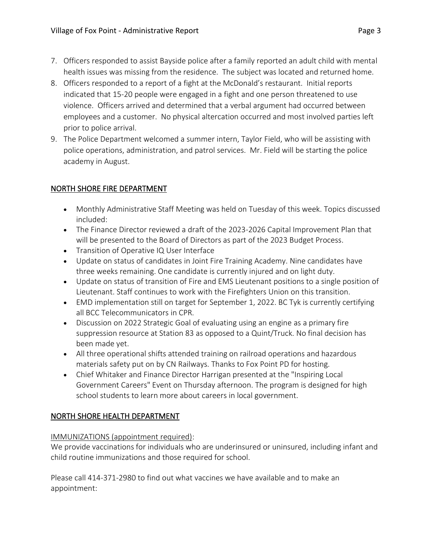- 7. Officers responded to assist Bayside police after a family reported an adult child with mental health issues was missing from the residence. The subject was located and returned home.
- 8. Officers responded to a report of a fight at the McDonald's restaurant. Initial reports indicated that 15-20 people were engaged in a fight and one person threatened to use violence. Officers arrived and determined that a verbal argument had occurred between employees and a customer. No physical altercation occurred and most involved parties left prior to police arrival.
- 9. The Police Department welcomed a summer intern, Taylor Field, who will be assisting with police operations, administration, and patrol services. Mr. Field will be starting the police academy in August.

# NORTH SHORE FIRE DEPARTMENT

- Monthly Administrative Staff Meeting was held on Tuesday of this week. Topics discussed included:
- The Finance Director reviewed a draft of the 2023-2026 Capital Improvement Plan that will be presented to the Board of Directors as part of the 2023 Budget Process.
- Transition of Operative IQ User Interface
- Update on status of candidates in Joint Fire Training Academy. Nine candidates have three weeks remaining. One candidate is currently injured and on light duty.
- Update on status of transition of Fire and EMS Lieutenant positions to a single position of Lieutenant. Staff continues to work with the Firefighters Union on this transition.
- EMD implementation still on target for September 1, 2022. BC Tyk is currently certifying all BCC Telecommunicators in CPR.
- Discussion on 2022 Strategic Goal of evaluating using an engine as a primary fire suppression resource at Station 83 as opposed to a Quint/Truck. No final decision has been made yet.
- All three operational shifts attended training on railroad operations and hazardous materials safety put on by CN Railways. Thanks to Fox Point PD for hosting.
- Chief Whitaker and Finance Director Harrigan presented at the "Inspiring Local Government Careers" Event on Thursday afternoon. The program is designed for high school students to learn more about careers in local government.

# NORTH SHORE HEALTH DEPARTMENT

# IMMUNIZATIONS (appointment required):

We provide vaccinations for individuals who are underinsured or uninsured, including infant and child routine immunizations and those required for school.

Please call 414-371-2980 to find out what vaccines we have available and to make an appointment: